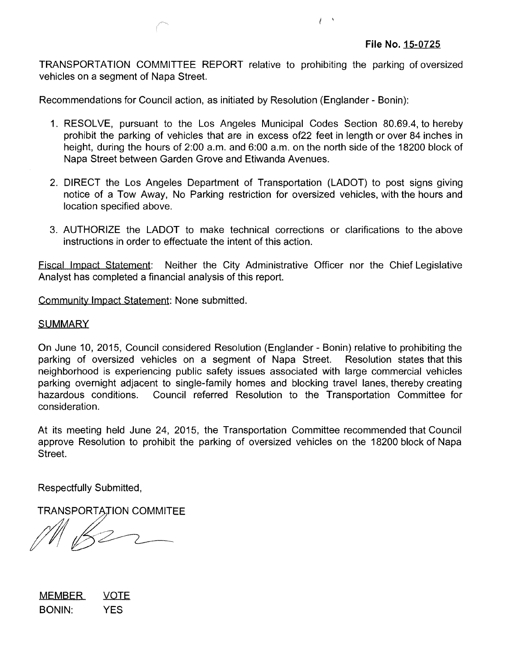TRANSPORTATION COMMITTEE REPORT relative to prohibiting the parking of oversized vehicles on a segment of Napa Street.

j

Recommendations for Council action, as initiated by Resolution (Englander - Bonin):

- 1. RESOLVE, pursuant to the Los Angeles Municipal Codes Section 80.69.4, to hereby prohibit the parking of vehicles that are in excess of22 feet in length or over 84 inches in height, during the hours of 2:00 a.m. and 6:00 a.m. on the north side of the 18200 block of Napa Street between Garden Grove and Etiwanda Avenues.
- 2. DIRECT the Los Angeles Department of Transportation (LADOT) to post signs giving notice of a Tow Away, No Parking restriction for oversized vehicles, with the hours and location specified above.
- 3. AUTHORIZE the LADOT to make technical corrections or clarifications to the above instructions in order to effectuate the intent of this action.

Fiscal Impact Statement: Neither the City Administrative Officer nor the Chief Legislative Analyst has completed a financial analysis of this report.

Community Impact Statement: None submitted.

## **SUMMARY**

On June 10, 2015, Council considered Resolution (Englander - Bonin) relative to prohibiting the parking of oversized vehicles on a segment of Napa Street. Resolution states that this neighborhood is experiencing public safety issues associated with large commercial vehicles parking overnight adjacent to single-family homes and blocking travel lanes, thereby creating hazardous conditions. Council referred Resolution to the Transportation Committee for consideration.

At its meeting held June 24, 2015, the Transportation Committee recommended that Council approve Resolution to prohibit the parking of oversized vehicles on the 18200 block of Napa Street.

Respectfully Submitted,

**TRANSPORTATION COMMITEE** 

MEMBER VOTE BONIN: YES